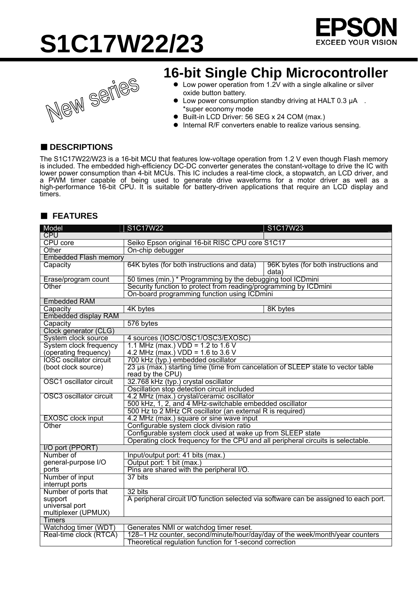





### **16-bit Single Chip Microcontroller**

- Low power operation from 1.2V with a single alkaline or silver oxide button battery.
- Low power consumption standby driving at HALT 0.3 μA. \*super economy mode
- Built-in LCD Driver: 56 SEG x 24 COM (max.)
- $\bullet$  Internal R/F converters enable to realize various sensing.

### ■ **DESCRIPTIONS**

The S1C17W22/W23 is a 16-bit MCU that features low-voltage operation from 1.2 V even though Flash memory is included. The embedded high-efficiency DC-DC converter generates the constant-voltage to drive the IC with lower power consumption than 4-bit MCUs. This IC includes a real-time clock, a stopwatch, an LCD driver, and a PWM timer capable of being used to generate drive waveforms for a motor driver as well as a high-performance 16-bit CPU. It is suitable for battery-driven applications that require an LCD display and timers.

#### ■ **FEATURES**

| Model                                                   | S1C17W22                                                                                                                                       | S1C17W23                                      |  |  |  |  |
|---------------------------------------------------------|------------------------------------------------------------------------------------------------------------------------------------------------|-----------------------------------------------|--|--|--|--|
| <b>CPU</b>                                              |                                                                                                                                                |                                               |  |  |  |  |
| <b>CPU</b> core                                         | Seiko Epson original 16-bit RISC CPU core S1C17                                                                                                |                                               |  |  |  |  |
| Other                                                   | On-chip debugger                                                                                                                               |                                               |  |  |  |  |
| <b>Embedded Flash memory</b>                            |                                                                                                                                                |                                               |  |  |  |  |
| Capacity                                                | 64K bytes (for both instructions and data)                                                                                                     | 96K bytes (for both instructions and<br>data) |  |  |  |  |
| Erase/program count                                     | 50 times (min.) * Programming by the debugging tool ICDmini                                                                                    |                                               |  |  |  |  |
| Other                                                   | Security function to protect from reading/programming by ICDmini                                                                               |                                               |  |  |  |  |
|                                                         | On-board programming function using ICDmini                                                                                                    |                                               |  |  |  |  |
| <b>Embedded RAM</b>                                     |                                                                                                                                                |                                               |  |  |  |  |
| Capacity                                                | 4K bytes                                                                                                                                       | 8K bytes                                      |  |  |  |  |
| <b>Embedded display RAM</b>                             |                                                                                                                                                |                                               |  |  |  |  |
| Capacity                                                | 576 bytes                                                                                                                                      |                                               |  |  |  |  |
| Clock generator (CLG)                                   |                                                                                                                                                |                                               |  |  |  |  |
| System clock source                                     | 4 sources (IOSC/OSC1/OSC3/EXOSC)                                                                                                               |                                               |  |  |  |  |
| System clock frequency                                  | 1.1 MHz (max.) VDD = 1.2 to 1.6 V<br>4.2 MHz (max.) VDD = 1.6 to 3.6 V                                                                         |                                               |  |  |  |  |
| (operating frequency)<br>IOSC oscillator circuit        |                                                                                                                                                |                                               |  |  |  |  |
|                                                         | 700 kHz (typ.) embedded oscillator                                                                                                             |                                               |  |  |  |  |
| (boot clock source)                                     | 23 µs (max.) starting time (time from cancelation of SLEEP state to vector table                                                               |                                               |  |  |  |  |
|                                                         | read by the CPU)                                                                                                                               |                                               |  |  |  |  |
| OSC1 oscillator circuit                                 | 32.768 kHz (typ.) crystal oscillator                                                                                                           |                                               |  |  |  |  |
|                                                         | Oscillation stop detection circuit included                                                                                                    |                                               |  |  |  |  |
| OSC3 oscillator circuit                                 | 4.2 MHz (max.) crystal/ceramic oscillator                                                                                                      |                                               |  |  |  |  |
|                                                         | 500 kHz, 1, 2, and 4 MHz-switchable embedded oscillator                                                                                        |                                               |  |  |  |  |
|                                                         | 500 Hz to 2 MHz CR oscillator (an external R is required)                                                                                      |                                               |  |  |  |  |
| <b>EXOSC</b> clock input                                | 4.2 MHz (max.) square or sine wave input                                                                                                       |                                               |  |  |  |  |
| Other                                                   | Configurable system clock division ratio                                                                                                       |                                               |  |  |  |  |
|                                                         | Configurable system clock used at wake up from SLEEP state<br>Operating clock frequency for the CPU and all peripheral circuits is selectable. |                                               |  |  |  |  |
|                                                         |                                                                                                                                                |                                               |  |  |  |  |
| I/O port (PPORT)                                        |                                                                                                                                                |                                               |  |  |  |  |
| Number of                                               | Input/output port: 41 bits (max.)                                                                                                              |                                               |  |  |  |  |
| general-purpose I/O<br>ports                            | Output port: 1 bit (max.)                                                                                                                      |                                               |  |  |  |  |
| Number of input                                         | Pins are shared with the peripheral I/O.<br>37 bits                                                                                            |                                               |  |  |  |  |
| interrupt ports                                         |                                                                                                                                                |                                               |  |  |  |  |
| Number of ports that                                    | 32 bits                                                                                                                                        |                                               |  |  |  |  |
| support                                                 | A peripheral circuit I/O function selected via software can be assigned to each port.                                                          |                                               |  |  |  |  |
| universal port                                          |                                                                                                                                                |                                               |  |  |  |  |
| multiplexer (UPMUX)                                     |                                                                                                                                                |                                               |  |  |  |  |
| Timers                                                  |                                                                                                                                                |                                               |  |  |  |  |
| Watchdog timer (WDT)                                    | Generates NMI or watchdog timer reset.                                                                                                         |                                               |  |  |  |  |
| Real-time clock (RTCA)                                  | 128-1 Hz counter, second/minute/hour/day/day of the week/month/year counters                                                                   |                                               |  |  |  |  |
| Theoretical regulation function for 1-second correction |                                                                                                                                                |                                               |  |  |  |  |
|                                                         |                                                                                                                                                |                                               |  |  |  |  |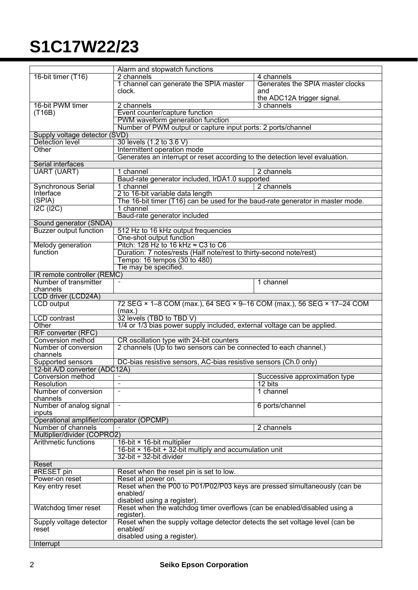|                                          | Alarm and stopwatch functions                                                                       |                                          |  |  |  |
|------------------------------------------|-----------------------------------------------------------------------------------------------------|------------------------------------------|--|--|--|
| 16-bit timer (T16)                       | 2 channels                                                                                          | 4 channels                               |  |  |  |
|                                          | 1 channel can generate the SPIA master                                                              | Generates the SPIA master clocks         |  |  |  |
|                                          | clock.                                                                                              | and                                      |  |  |  |
|                                          |                                                                                                     | the ADC12A trigger signal.               |  |  |  |
| 16-bit PWM timer                         | 3 channels<br>2 channels                                                                            |                                          |  |  |  |
| (T16B)                                   | Event counter/capture function                                                                      |                                          |  |  |  |
|                                          | PWM waveform generation function                                                                    |                                          |  |  |  |
|                                          | Number of PWM output or capture input ports: 2 ports/channel                                        |                                          |  |  |  |
| Supply voltage detector (SVD)            |                                                                                                     |                                          |  |  |  |
| <b>Detection level</b>                   | 30 levels (1.2 to 3.6 V)                                                                            |                                          |  |  |  |
| Other                                    | Intermittent operation mode                                                                         |                                          |  |  |  |
|                                          | Generates an interrupt or reset according to the detection level evaluation.                        |                                          |  |  |  |
| Serial interfaces                        |                                                                                                     |                                          |  |  |  |
| <b>UART (UART)</b>                       | 1 channel                                                                                           | 2 channels                               |  |  |  |
|                                          | Baud-rate generator included, IrDA1.0 supported                                                     |                                          |  |  |  |
| <b>Synchronous Serial</b>                | 1 channel                                                                                           | 2 channels                               |  |  |  |
| Interface                                | 2 to 16-bit variable data length                                                                    |                                          |  |  |  |
| (SPIA)                                   | The 16-bit timer (T16) can be used for the baud-rate generator in master mode.                      |                                          |  |  |  |
| $IC$ ( $IC$ )                            | 1 channel                                                                                           |                                          |  |  |  |
|                                          | Baud-rate generator included                                                                        |                                          |  |  |  |
| Sound generator (SNDA)                   |                                                                                                     |                                          |  |  |  |
| <b>Buzzer output function</b>            | 512 Hz to 16 kHz output frequencies                                                                 |                                          |  |  |  |
|                                          | One-shot output function                                                                            |                                          |  |  |  |
| Melody generation                        | Pitch: 128 Hz to 16 kHz $\approx$ C3 to C6                                                          |                                          |  |  |  |
| function                                 | Duration: 7 notes/rests (Half note/rest to thirty-second note/rest)                                 |                                          |  |  |  |
|                                          | Tempo: 16 tempos (30 to 480)                                                                        |                                          |  |  |  |
|                                          | Tie may be specified.                                                                               |                                          |  |  |  |
| IR remote controller (REMC)              |                                                                                                     |                                          |  |  |  |
| Number of transmitter                    |                                                                                                     | 1 channel                                |  |  |  |
| channels                                 |                                                                                                     |                                          |  |  |  |
| LCD driver (LCD24A)                      |                                                                                                     |                                          |  |  |  |
| <b>LCD</b> output                        | 72 SEG × 1-8 COM (max.), 64 SEG × 9-16 COM (max.), 56 SEG × 17-24 COM                               |                                          |  |  |  |
|                                          | (max.)                                                                                              |                                          |  |  |  |
| <b>LCD</b> contrast                      | 32 levels (TBD to TBD V)<br>1/4 or 1/3 bias power supply included, external voltage can be applied. |                                          |  |  |  |
| Other                                    |                                                                                                     |                                          |  |  |  |
| R/F converter (RFC)                      |                                                                                                     |                                          |  |  |  |
| Conversion method                        | CR oscillation type with 24-bit counters                                                            |                                          |  |  |  |
| Number of conversion                     | 2 channels (Up to two sensors can be connected to each channel.)                                    |                                          |  |  |  |
| channels<br>Supported sensors            | DC-bias resistive sensors, AC-bias resistive sensors (Ch.0 only)                                    |                                          |  |  |  |
| 12-bit A/D converter (ADC12A)            |                                                                                                     |                                          |  |  |  |
| Conversion method                        |                                                                                                     |                                          |  |  |  |
| Resolution                               |                                                                                                     | Successive approximation type<br>12 bits |  |  |  |
| Number of conversion                     |                                                                                                     | 1 channel                                |  |  |  |
| channels                                 |                                                                                                     |                                          |  |  |  |
| Number of analog signal                  | $\overline{\phantom{a}}$                                                                            | 6 ports/channel                          |  |  |  |
| inputs                                   |                                                                                                     |                                          |  |  |  |
| Operational amplifier/comparator (OPCMP) |                                                                                                     |                                          |  |  |  |
| Number of channels                       |                                                                                                     | 2 channels                               |  |  |  |
| Multiplier/divider (COPRO2)              |                                                                                                     |                                          |  |  |  |
| Arithmetic functions                     | 16-bit × 16-bit multiplier                                                                          |                                          |  |  |  |
|                                          | 16-bit $\times$ 16-bit + 32-bit multiply and accumulation unit                                      |                                          |  |  |  |
|                                          | $32$ -bit ÷ 32-bit divider                                                                          |                                          |  |  |  |
| Reset                                    |                                                                                                     |                                          |  |  |  |
| #RESET pin                               | Reset when the reset pin is set to low.                                                             |                                          |  |  |  |
| Power-on reset                           | Reset at power on.                                                                                  |                                          |  |  |  |
| Key entry reset                          | Reset when the P00 to P01/P02/P03 keys are pressed simultaneously (can be                           |                                          |  |  |  |
|                                          | enabled/                                                                                            |                                          |  |  |  |
|                                          | disabled using a register).                                                                         |                                          |  |  |  |
| Watchdog timer reset                     | Reset when the watchdog timer overflows (can be enabled/disabled using a                            |                                          |  |  |  |
|                                          | register).                                                                                          |                                          |  |  |  |
| Supply voltage detector                  | Reset when the supply voltage detector detects the set voltage level (can be                        |                                          |  |  |  |
| reset                                    | enabled/                                                                                            |                                          |  |  |  |
|                                          | disabled using a register).                                                                         |                                          |  |  |  |
| Interrupt                                |                                                                                                     |                                          |  |  |  |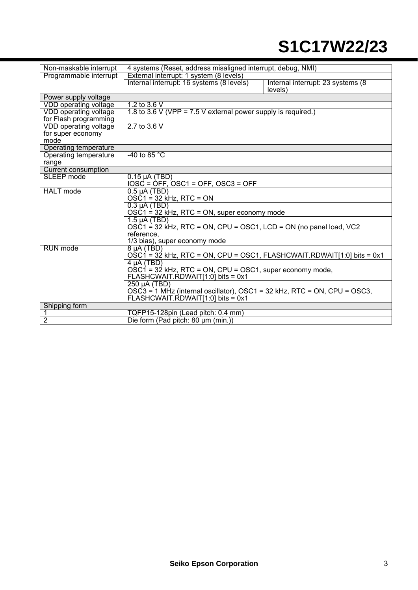| Non-maskable interrupt       | 4 systems (Reset, address misaligned interrupt, debug, NMI)                         |                                               |  |  |  |  |
|------------------------------|-------------------------------------------------------------------------------------|-----------------------------------------------|--|--|--|--|
| Programmable interrupt       | External interrupt: 1 system (8 levels)                                             |                                               |  |  |  |  |
|                              | Internal interrupt: 16 systems (8 levels)                                           | Internal interrupt: 23 systems (8)<br>levels) |  |  |  |  |
| Power supply voltage         |                                                                                     |                                               |  |  |  |  |
| VDD operating voltage        | 1.2 to $3.6$ V                                                                      |                                               |  |  |  |  |
| VDD operating voltage        | 1.8 to 3.6 V (VPP = $7.5$ V external power supply is required.)                     |                                               |  |  |  |  |
| for Flash programming        |                                                                                     |                                               |  |  |  |  |
| VDD operating voltage        | 2.7 to 3.6 $V$                                                                      |                                               |  |  |  |  |
| for super economy            |                                                                                     |                                               |  |  |  |  |
| mode                         |                                                                                     |                                               |  |  |  |  |
| Operating temperature        |                                                                                     |                                               |  |  |  |  |
| Operating temperature        | -40 to 85 $^{\circ}$ C                                                              |                                               |  |  |  |  |
| range<br>Current consumption |                                                                                     |                                               |  |  |  |  |
| SLEEP mode                   | $0.15 \mu A (TBD)$                                                                  |                                               |  |  |  |  |
|                              | $IOSC = ÒFF, ÓSC1 = OFF, OSC3 = OFF$                                                |                                               |  |  |  |  |
| <b>HALT</b> mode             | $0.5 \mu A$ (TBD)                                                                   |                                               |  |  |  |  |
|                              | $OSC1 = 32$ kHz, RTC = ON                                                           |                                               |  |  |  |  |
|                              | $0.3 \mu A (TBD)$                                                                   |                                               |  |  |  |  |
|                              | $OSC1 = 32$ kHz, RTC = ON, super economy mode                                       |                                               |  |  |  |  |
|                              | $1.5 \mu A (TBD)$                                                                   |                                               |  |  |  |  |
|                              | $OSC1 = 32$ kHz, RTC = ON, CPU = OSC1, LCD = ON (no panel load, VC2<br>reference,   |                                               |  |  |  |  |
|                              | 1/3 bias), super economy mode                                                       |                                               |  |  |  |  |
| <b>RUN</b> mode              | $8 \mu A (TBD)$                                                                     |                                               |  |  |  |  |
|                              | $\overline{OSC1}$ = 32 kHz, RTC = ON, CPU = OSC1, FLASHCWAIT.RDWAIT[1:0] bits = 0x1 |                                               |  |  |  |  |
|                              | $4 \mu A (TBD)$                                                                     |                                               |  |  |  |  |
|                              | $OSC1 = 32$ kHz, RTC = ON, CPU = OSC1, super economy mode,                          |                                               |  |  |  |  |
|                              | FLASHCWAIT.RDWAIT[1:0] bits = 0x1                                                   |                                               |  |  |  |  |
|                              | 250 µA (TBD)                                                                        |                                               |  |  |  |  |
|                              | OSC3 = 1 MHz (internal oscillator), OSC1 = 32 kHz, RTC = ON, CPU = OSC3,            |                                               |  |  |  |  |
|                              | FLASHCWAIT.RDWAIT[1:0] bits = $0x1$                                                 |                                               |  |  |  |  |
| Shipping form                |                                                                                     |                                               |  |  |  |  |
|                              | TQFP15-128pin (Lead pitch: 0.4 mm)                                                  |                                               |  |  |  |  |
| $\overline{2}$               | Die form (Pad pitch: 80 µm (min.))                                                  |                                               |  |  |  |  |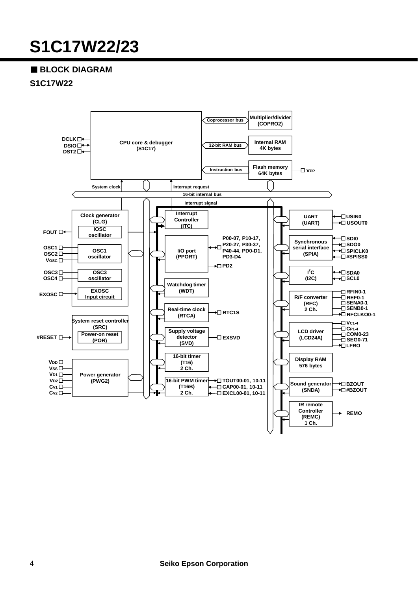### ■ **BLOCK DIAGRAM**

### **S1C17W22**

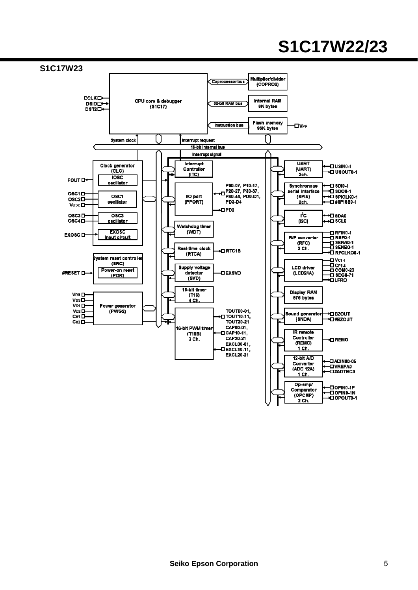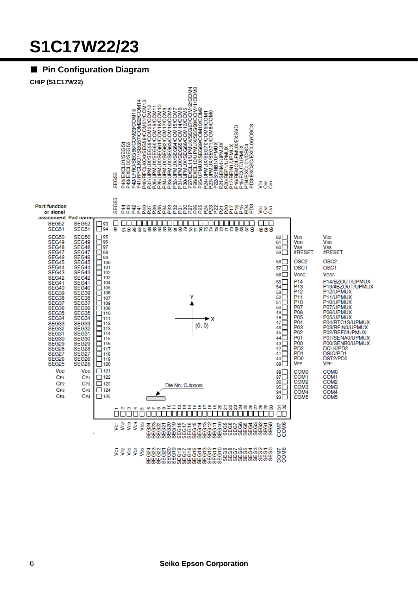#### ■ Pin Configuration Diagram

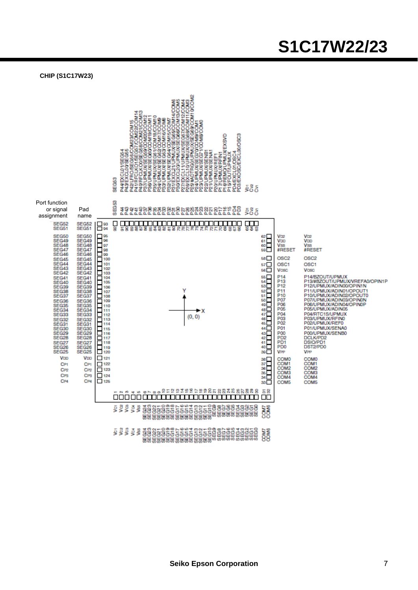#### **CHIP (S1C17W23)**

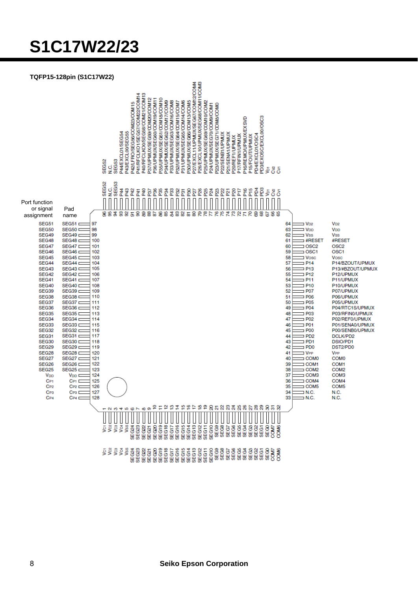#### **TQFP15-128pin (S1C17W22)**

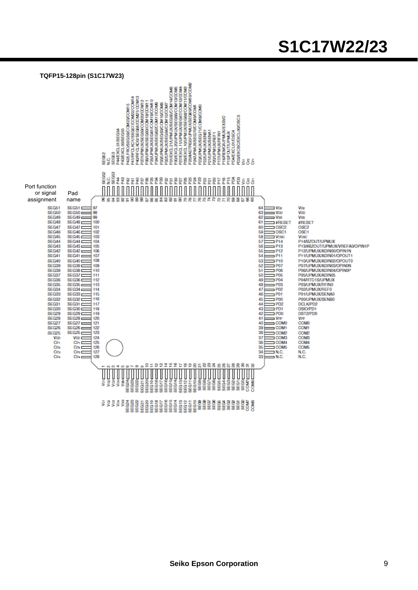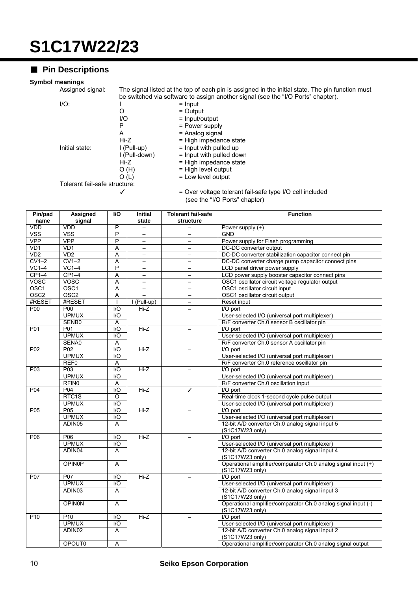### ■ Pin Descriptions

### **Symbol meanings**

The signal listed at the top of each pin is assigned in the initial state. The pin function must be switched via software to assign another signal (see the "I/O Ports" chapter).

| $I/O$ : | $=$ Input |
|---------|-----------|
|         | $=$ Outpu |

- O = Output<br>I/O = Input/or
- $I/O$  = Input/output<br>P = Power supply
- $P = Power supply$ <br>  $= Analog signal$
- $A =$ Analog signal<br>Hi-Z  $=$  High impedan
- $Hi-Z$  = High impedance state<br>  $I(Pull-up)$  = Input with pulled up
- Initial state:  $I (Pull-up)$  = Input with pulled up
	- I (Pull-down) = Input with pulled down<br>Hi-Z = High impedance state
	- $Hi-Z$  = High impedance state<br>O  $(H)$  = High level output
		- $=$  High level output
	- $O(L)$  = Low level output

Tolerant fail-safe structure:

| = Over voltage tolerant fail-safe type I/O cell included |
|----------------------------------------------------------|
| (see the "I/O Ports" chapter)                            |

| Pin/pad<br>name  | Assigned<br>signal | <b>VO</b>               | Initial<br>state         | <b>Tolerant fail-safe</b><br>structure | <b>Function</b>                                                    |
|------------------|--------------------|-------------------------|--------------------------|----------------------------------------|--------------------------------------------------------------------|
| VDD              | VDD                | $\overline{\mathsf{P}}$ |                          |                                        | Power supply (+)                                                   |
| <b>VSS</b>       | <b>VSS</b>         | $\overline{P}$          |                          |                                        | <b>GND</b>                                                         |
| <b>VPP</b>       | <b>VPP</b>         | $\overline{P}$          | $\qquad \qquad -$        | $\qquad \qquad -$                      | Power supply for Flash programming                                 |
| VD <sub>1</sub>  | VD1                | A                       |                          |                                        | DC-DC converter output                                             |
| VD <sub>2</sub>  | VD2                | A                       | $\qquad \qquad -$        | $\qquad \qquad -$                      | DC-DC converter stabilization capacitor connect pin                |
| $CV1-2$          | $CV1-2$            | A                       | $\qquad \qquad -$        | $\overline{\phantom{0}}$               | DC-DC converter charge pump capacitor connect pins                 |
| VC1–4            | VC1–4              | $\overline{P}$          | $\overline{\phantom{0}}$ | $\overline{\phantom{m}}$               | LCD panel driver power supply                                      |
| $CP1-4$          | $CP1-4$            | A                       | $\overline{a}$           | $\overline{\phantom{0}}$               | LCD power supply booster capacitor connect pins                    |
| <b>VOSC</b>      | VOSC               | Α                       | $\overline{\phantom{0}}$ | $\equiv$                               | OSC1 oscillator circuit voltage regulator output                   |
| OSC <sub>1</sub> | OSC <sub>1</sub>   | A                       | $\overline{a}$           | $\equiv$                               | OSC1 oscillator circuit input                                      |
| OSC <sub>2</sub> | OSC <sub>2</sub>   | Α                       | $\overline{a}$           | $\equiv$                               | OSC1 oscillator circuit output                                     |
| #RESET           | #RESET             | ı                       | I (Pull-up)              | $\equiv$                               | Reset input                                                        |
| P <sub>00</sub>  | P00                | 1/O                     | $Hi-Z$                   | $\equiv$                               | I/O port                                                           |
|                  | <b>UPMUX</b>       | 1/O                     |                          |                                        | User-selected I/O (universal port multiplexer)                     |
|                  | SENB0              | Α                       |                          |                                        | R/F converter Ch.0 sensor B oscillator pin                         |
| P01              | P01                | 1/O                     | $Hi-Z$                   |                                        | I/O port                                                           |
|                  | <b>UPMUX</b>       | 1/O                     |                          |                                        | User-selected I/O (universal port multiplexer)                     |
|                  | SENA0              | Α                       |                          |                                        | R/F converter Ch.0 sensor A oscillator pin                         |
| P <sub>02</sub>  | P02                | 1/O                     | $Hi-Z$                   |                                        | I/O port                                                           |
|                  | <b>UPMUX</b>       | 1/O                     |                          |                                        | User-selected I/O (universal port multiplexer)                     |
|                  | REF <sub>0</sub>   | Α                       |                          |                                        | R/F converter Ch.0 reference oscillator pin                        |
| P <sub>03</sub>  | P <sub>03</sub>    | $\overline{1/O}$        | $Hi-Z$                   |                                        | I/O port                                                           |
|                  | <b>UPMUX</b>       | 1/O                     |                          |                                        | User-selected I/O (universal port multiplexer)                     |
|                  | RFIN <sub>0</sub>  | $\overline{A}$          |                          |                                        | R/F converter Ch.0 oscillation input                               |
| P04              | P04                | I/O                     | $Hi-Z$                   | ✓                                      | I/O port                                                           |
|                  | RTC <sub>1</sub> S | O                       |                          |                                        | Real-time clock 1-second cycle pulse output                        |
|                  | <b>UPMUX</b>       | I/O                     |                          |                                        | User-selected I/O (universal port multiplexer)                     |
| P <sub>05</sub>  | P <sub>05</sub>    | I/O                     | $Hi-Z$                   | $\equiv$                               | I/O port                                                           |
|                  | <b>UPMUX</b>       | 1/O                     |                          |                                        | User-selected I/O (universal port multiplexer)                     |
|                  | ADIN05             | A                       |                          |                                        | 12-bit A/D converter Ch.0 analog signal input 5                    |
|                  |                    |                         |                          |                                        | (S1C17W23 only)                                                    |
| P06              | P <sub>06</sub>    | 1/O                     | $Hi-Z$                   |                                        | I/O port                                                           |
|                  | <b>UPMUX</b>       | 1/O                     |                          |                                        | User-selected I/O (universal port multiplexer)                     |
|                  | ADIN04             | A                       |                          |                                        | 12-bit A/D converter Ch.0 analog signal input 4                    |
|                  |                    |                         |                          |                                        | (S1C17W23 only)                                                    |
|                  | <b>OPIN0P</b>      | A                       |                          |                                        | Operational amplifier/comparator Ch.0 analog signal input (+)      |
|                  |                    |                         |                          |                                        | (S1C17W23 only)                                                    |
| P07              | P <sub>07</sub>    | I/O                     | Hi-Z                     |                                        | I/O port                                                           |
|                  | <b>UPMUX</b>       | 1/O                     |                          |                                        | User-selected I/O (universal port multiplexer)                     |
|                  | ADIN03             | A                       |                          |                                        | 12-bit A/D converter Ch.0 analog signal input 3<br>(S1C17W23 only) |
|                  | <b>OPINON</b>      | A                       |                          |                                        | Operational amplifier/comparator Ch.0 analog signal input (-)      |
|                  |                    |                         |                          |                                        | (S1C17W23 only)                                                    |
| P <sub>10</sub>  | P <sub>10</sub>    | I/O                     | $Hi-Z$                   |                                        | I/O port                                                           |
|                  | <b>UPMUX</b>       | I/O                     |                          |                                        | User-selected I/O (universal port multiplexer)                     |
|                  | ADIN02             | A                       |                          |                                        | 12-bit A/D converter Ch.0 analog signal input 2                    |
|                  |                    |                         |                          |                                        | (S1C17W23 only)                                                    |
|                  | OPOUT0             | А                       |                          |                                        | Operational amplifier/comparator Ch.0 analog signal output         |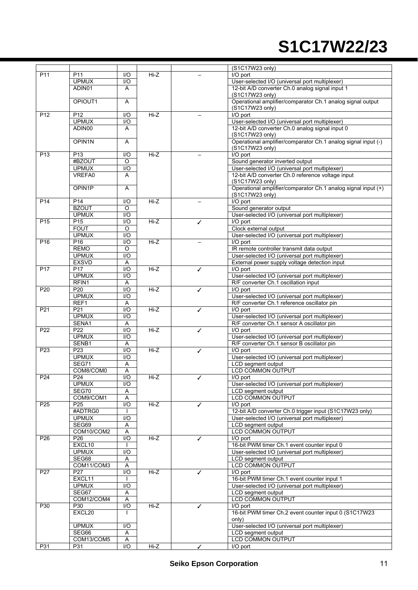|                 |                    |                  |        |   | (S1C17W23 only)                                               |
|-----------------|--------------------|------------------|--------|---|---------------------------------------------------------------|
| P <sub>11</sub> | P <sub>11</sub>    | I/O              | $Hi-Z$ |   | I/O port                                                      |
|                 | <b>UPMUX</b>       | $\overline{1/O}$ |        |   | User-selected I/O (universal port multiplexer)                |
|                 | ADIN01             | A                |        |   | 12-bit A/D converter Ch.0 analog signal input 1               |
|                 |                    |                  |        |   | (S1C17W23 only)                                               |
|                 | OPIOUT1            | A                |        |   | Operational amplifier/comparator Ch.1 analog signal output    |
|                 |                    |                  |        |   |                                                               |
|                 |                    |                  |        |   | (S1C17W23 only)                                               |
| P <sub>12</sub> | P12                | I/O              | $Hi-Z$ |   | I/O port                                                      |
|                 | <b>UPMUX</b>       | 1/O              |        |   | User-selected I/O (universal port multiplexer)                |
|                 | ADIN00             | A                |        |   | 12-bit A/D converter Ch.0 analog signal input 0               |
|                 |                    |                  |        |   | (S1C17W23 only)                                               |
|                 | OPIN <sub>1N</sub> | A                |        |   | Operational amplifier/comparator Ch.1 analog signal input (-) |
|                 |                    |                  |        |   |                                                               |
|                 |                    |                  |        |   | (S1C17W23 only)                                               |
| P <sub>13</sub> | P <sub>13</sub>    | I/O              | Hi-Z   |   | $I/O$ port                                                    |
|                 | #BZOUT             | O                |        |   | Sound generator inverted output                               |
|                 | <b>UPMUX</b>       | I/O              |        |   | User-selected I/O (universal port multiplexer)                |
|                 | <b>VREFA0</b>      | A                |        |   | 12-bit A/D converter Ch.0 reference voltage input             |
|                 |                    |                  |        |   | (S1C17W23 only)                                               |
|                 |                    |                  |        |   |                                                               |
|                 | OPIN1P             | A                |        |   | Operational amplifier/comparator Ch.1 analog signal input (+) |
|                 |                    |                  |        |   | (S1C17W23 only)                                               |
| P <sub>14</sub> | P <sub>14</sub>    | I/O              | $Hi-Z$ |   | I/O port                                                      |
|                 | <b>BZOUT</b>       | O                |        |   | Sound generator output                                        |
|                 | <b>UPMUX</b>       | 1/O              |        |   | User-selected I/O (universal port multiplexer)                |
|                 |                    |                  | $Hi-Z$ |   |                                                               |
| P <sub>15</sub> | P15                | I/O              |        | ✓ | I/O port                                                      |
|                 | <b>FOUT</b>        | $\circ$          |        |   | Clock external output                                         |
|                 | <b>UPMUX</b>       | 1/O              |        |   | User-selected I/O (universal port multiplexer)                |
| P <sub>16</sub> | P16                | 1/O              | $Hi-Z$ |   | I/O port                                                      |
|                 | <b>REMO</b>        | O                |        |   | IR remote controller transmit data output                     |
|                 | <b>UPMUX</b>       | I/O              |        |   | User-selected I/O (universal port multiplexer)                |
|                 |                    |                  |        |   |                                                               |
|                 | <b>EXSVD</b>       | Α                |        |   | External power supply voltage detection input                 |
| P <sub>17</sub> | P <sub>17</sub>    | I/O              | $Hi-Z$ | ✓ | I/O port                                                      |
|                 | <b>UPMUX</b>       | $\overline{1/O}$ |        |   | User-selected I/O (universal port multiplexer)                |
|                 | RFIN1              | Α                |        |   | R/F converter Ch.1 oscillation input                          |
| P <sub>20</sub> | P20                | 1/O              | $Hi-Z$ | ✓ | I/O port                                                      |
|                 | <b>UPMUX</b>       | $\overline{1/O}$ |        |   | User-selected I/O (universal port multiplexer)                |
|                 |                    |                  |        |   |                                                               |
|                 | REF1               | Α                |        |   | R/F converter Ch.1 reference oscillator pin                   |
| P21             | P <sub>21</sub>    | $\overline{1/O}$ | $Hi-Z$ | ✓ | I/O port                                                      |
|                 | <b>UPMUX</b>       | I/O              |        |   | User-selected I/O (universal port multiplexer)                |
|                 | SENA1              | Α                |        |   | R/F converter Ch.1 sensor A oscillator pin                    |
| P <sub>22</sub> | P <sub>22</sub>    | $\overline{1/O}$ | $Hi-Z$ | ✓ | I/O port                                                      |
|                 |                    |                  |        |   |                                                               |
|                 | <b>UPMUX</b>       | 1/O              |        |   | User-selected I/O (universal port multiplexer)                |
|                 | SENB1              | Α                |        |   | R/F converter Ch.1 sensor B oscillator pin                    |
| P <sub>23</sub> | P <sub>23</sub>    | 1/O              | $Hi-Z$ | ✓ | $1/O$ port                                                    |
|                 | <b>UPMUX</b>       | 1/O              |        |   | User-selected I/O (universal port multiplexer)                |
|                 | <b>SEG71</b>       | Α                |        |   | LCD segment output                                            |
|                 | COM8/COM0          | Α                |        |   | <b>LCD COMMON OUTPUT</b>                                      |
|                 |                    |                  |        |   |                                                               |
| P <sub>24</sub> | P <sub>24</sub>    | $\overline{1/O}$ | Hi-Z   | ✓ | $\overline{1/O}$ port                                         |
|                 | <b>UPMUX</b>       | I/O              |        |   | User-selected I/O (universal port multiplexer)                |
|                 | SEG70              | A                |        |   | LCD segment output                                            |
|                 | COM9/COM1          | Α                |        |   | LCD COMMON OUTPUT                                             |
| P <sub>25</sub> | P <sub>25</sub>    | I/O              | Hi-Z   | ✓ | I/O port                                                      |
|                 |                    |                  |        |   |                                                               |
|                 | #ADTRG0            |                  |        |   | 12-bit A/D converter Ch.0 trigger input (S1C17W23 only)       |
|                 | <b>UPMUX</b>       | 1/O              |        |   | User-selected I/O (universal port multiplexer)                |
|                 | SEG69              | Α                |        |   | LCD segment output                                            |
|                 | COM10/COM2         | A                |        |   | LCD COMMON OUTPUT                                             |
| P26             | P <sub>26</sub>    | I/O              | Hi-Z   | ✓ | I/O port                                                      |
|                 | EXCL10             |                  |        |   | 16-bit PWM timer Ch.1 event counter input 0                   |
|                 |                    |                  |        |   |                                                               |
|                 | <b>UPMUX</b>       | I/O              |        |   | User-selected I/O (universal port multiplexer)                |
|                 | SEG68              | Α                |        |   | LCD segment output                                            |
|                 | COM11/COM3         |                  |        |   | <b>LCD COMMON OUTPUT</b>                                      |
| P27             |                    |                  |        |   |                                                               |
|                 |                    | A                |        |   |                                                               |
|                 | P <sub>27</sub>    | I/O              | Hi-Z   | ✓ | I/O port                                                      |
|                 | EXCL11             |                  |        |   | 16-bit PWM timer Ch.1 event counter input 1                   |
|                 | <b>UPMUX</b>       | I/O              |        |   | User-selected I/O (universal port multiplexer)                |
|                 | SEG67              | Α                |        |   | LCD segment output                                            |
|                 | COM12/COM4         | Α                |        |   | LCD COMMON OUTPUT                                             |
| P30             | P30                | I/O              |        | ✓ | I/O port                                                      |
|                 |                    |                  | $Hi-Z$ |   |                                                               |
|                 | EXCL20             |                  |        |   | 16-bit PWM timer Ch.2 event counter input 0 (S1C17W23         |
|                 |                    |                  |        |   | only)                                                         |
|                 | <b>UPMUX</b>       | I/O              |        |   | User-selected I/O (universal port multiplexer)                |
|                 | SEG66              | Α                |        |   | LCD segment output                                            |
|                 | COM13/COM5         | A                |        |   | LCD COMMON OUTPUT                                             |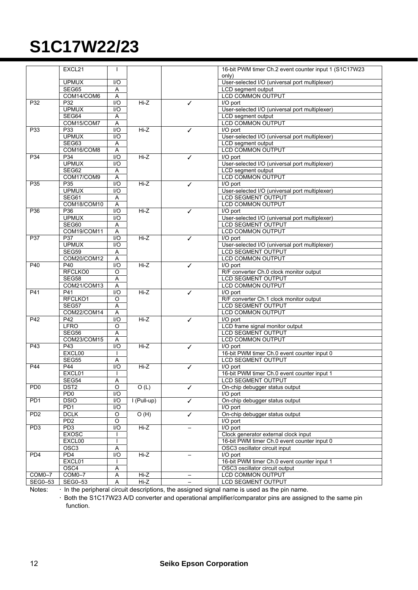|                 | EXCL21           | $\mathbf{I}$     |               |                          | 16-bit PWM timer Ch.2 event counter input 1 (S1C17W23 |  |
|-----------------|------------------|------------------|---------------|--------------------------|-------------------------------------------------------|--|
|                 |                  |                  |               |                          | only)                                                 |  |
|                 | <b>UPMUX</b>     | I/O              |               |                          | User-selected I/O (universal port multiplexer)        |  |
|                 | SEG65            | A                |               |                          | LCD segment output                                    |  |
|                 | COM14/COM6       | Α                |               |                          | <b>LCD COMMON OUTPUT</b>                              |  |
| P32             | P32              | $\overline{1/O}$ | Hi-Z          | ✓                        | I/O port                                              |  |
|                 | <b>UPMUX</b>     | 1/O              |               |                          | User-selected I/O (universal port multiplexer)        |  |
|                 | SEG64            | Α                |               |                          | LCD segment output                                    |  |
|                 | COM15/COM7       | A                |               |                          | <b>LCD COMMON OUTPUT</b>                              |  |
| P33             | P33              | I/O              | Hi-Z          | ✓                        | I/O port                                              |  |
|                 | <b>UPMUX</b>     | 1/O              |               |                          | User-selected I/O (universal port multiplexer)        |  |
|                 | SEG63            | A                |               |                          | LCD segment output                                    |  |
|                 | COM16/COM8       | Α                |               |                          | <b>LCD COMMON OUTPUT</b>                              |  |
| P34             | P34              | $\overline{1/O}$ | $Hi-Z$        | ✓                        | I/O port                                              |  |
|                 | <b>UPMUX</b>     | 1/O              |               |                          | User-selected I/O (universal port multiplexer)        |  |
|                 | SEG62            |                  |               |                          | LCD segment output                                    |  |
|                 | COM17/COM9       | Α                |               |                          | <b>LCD COMMON OUTPUT</b>                              |  |
|                 |                  | Α                | $Hi-Z$        |                          |                                                       |  |
| P35             | P <sub>35</sub>  | 1/O              |               | ✓                        | I/O port                                              |  |
|                 | <b>UPMUX</b>     | 1/O              |               |                          | User-selected I/O (universal port multiplexer)        |  |
|                 | SEG61            | Α                |               |                          | <b>LCD SEGMENT OUTPUT</b>                             |  |
|                 | COM18/COM10      | Α                |               |                          | LCD COMMON OUTPUT                                     |  |
| P36             | P36              | $\overline{1/O}$ | $Hi-Z$        | ✓                        | I/O port                                              |  |
|                 | <b>UPMUX</b>     | 1/O              |               |                          | User-selected I/O (universal port multiplexer)        |  |
|                 | SEG60            | Α                |               |                          | <b>LCD SEGMENT OUTPUT</b>                             |  |
|                 | COM19/COM11      | Α                |               |                          | LCD COMMON OUTPUT                                     |  |
| P37             | P37              | 1/O              | $Hi-Z$        | ✓                        | I/O port                                              |  |
|                 | <b>UPMUX</b>     | 1/O              |               |                          | User-selected I/O (universal port multiplexer)        |  |
|                 | <b>SEG59</b>     | Α                |               |                          | <b>LCD SEGMENT OUTPUT</b>                             |  |
|                 | COM20/COM12      | Α                |               |                          | LCD COMMON OUTPUT                                     |  |
| P40             | P40              | $\overline{1/O}$ | $Hi-Z$        | ✓                        | $\overline{IO}$ port                                  |  |
|                 | RFCLKO0          | O                |               |                          | R/F converter Ch.0 clock monitor output               |  |
|                 | <b>SEG58</b>     | $\overline{A}$   |               |                          | <b>LCD SEGMENT OUTPUT</b>                             |  |
|                 | COM21/COM13      | Α                |               |                          | LCD COMMON OUTPUT                                     |  |
| P41             | P41              | 1/O              | $Hi-Z$        | ✓                        | I/O port                                              |  |
|                 | RFCLKO1          | O                |               |                          | R/F converter Ch.1 clock monitor output               |  |
|                 | SEG57            | Α                |               |                          | <b>LCD SEGMENT OUTPUT</b>                             |  |
|                 | COM22/COM14      | A                |               |                          | LCD COMMON OUTPUT                                     |  |
| P42             | P42              | 1/O              | $Hi-Z$        | ✓                        | I/O port                                              |  |
|                 | <b>LFRO</b>      | O                |               |                          | LCD frame signal monitor output                       |  |
|                 | SEG56            | A                |               |                          | <b>LCD SEGMENT OUTPUT</b>                             |  |
|                 | COM23/COM15      | Α                |               |                          | <b>LCD COMMON OUTPUT</b>                              |  |
| P43             | P43              | I/O              | $Hi-Z$        | ✓                        | I/O port                                              |  |
|                 | EXCL00           |                  |               |                          | 16-bit PWM timer Ch.0 event counter input 0           |  |
|                 | <b>SEG55</b>     | Α                |               |                          | <b>LCD SEGMENT OUTPUT</b>                             |  |
| P44             | P44              | $\overline{1/O}$ | $Hi-Z$        | ✓                        | I/O port                                              |  |
|                 | EXCL01           |                  |               |                          | 16-bit PWM timer Ch.0 event counter input 1           |  |
|                 | SEG54            | $\overline{A}$   |               |                          | <b>LCD SEGMENT OUTPUT</b>                             |  |
| PD0             | DST <sub>2</sub> | $\overline{O}$   | O(L)          | ✓                        | On-chip debugger status output                        |  |
|                 | PD <sub>0</sub>  | I/O              |               |                          | I/O port                                              |  |
| PD <sub>1</sub> | <b>DSIO</b>      | I/O              | $I$ (Pull-up) |                          | On-chip debugger status output                        |  |
|                 |                  |                  |               | ✓                        |                                                       |  |
|                 | PD <sub>1</sub>  | I/O              |               |                          | I/O port                                              |  |
| PD <sub>2</sub> | <b>DCLK</b>      | O                | O(H)          | ✓                        | On-chip debugger status output                        |  |
|                 | PD <sub>2</sub>  | $\overline{0}$   |               |                          | I/O port                                              |  |
| PD <sub>3</sub> | PD <sub>3</sub>  | I/O              | Hi-Z          | $\overline{\phantom{0}}$ | I/O port                                              |  |
|                 | <b>EXOSC</b>     |                  |               |                          | Clock generator external clock input                  |  |
|                 | EXCL00           |                  |               |                          | 16-bit PWM timer Ch.0 event counter input 0           |  |
|                 | OSC <sub>3</sub> | Α                |               |                          | OSC3 oscillator circuit input                         |  |
| PD4             | PD <sub>4</sub>  | $\overline{1/O}$ | $Hi-Z$        | $\overline{\phantom{0}}$ | I/O port                                              |  |
|                 | EXCL01           |                  |               |                          | 16-bit PWM timer Ch.0 event counter input 1           |  |
|                 | OSC4             | Α                |               |                          | OSC3 oscillator circuit output                        |  |
| $COM0-7$        | $COM0-7$         | Ā                | Hi-Z          | $-$                      | <b>LCD COMMON OUTPUT</b>                              |  |
| SEG0-53         | SEG0-53          | Α                | Hi-Z          |                          | <b>LCD SEGMENT OUTPUT</b>                             |  |

Notes: • In the peripheral circuit descriptions, the assigned signal name is used as the pin name.

• Both the S1C17W23 A/D converter and operational amplifier/comparator pins are assigned to the same pin function.